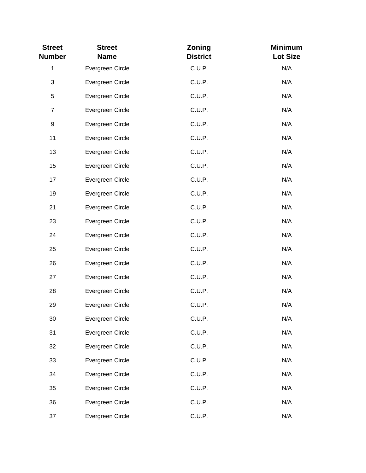| <b>Street</b><br><b>Number</b> | <b>Street</b><br><b>Name</b> | Zoning<br><b>District</b> | <b>Minimum</b><br><b>Lot Size</b> |
|--------------------------------|------------------------------|---------------------------|-----------------------------------|
| $\mathbf{1}$                   | Evergreen Circle             | C.U.P.                    | N/A                               |
| 3                              | Evergreen Circle             | C.U.P.                    | N/A                               |
| 5                              | Evergreen Circle             | C.U.P.                    | N/A                               |
| $\overline{7}$                 | Evergreen Circle             | C.U.P.                    | N/A                               |
| $\boldsymbol{9}$               | Evergreen Circle             | C.U.P.                    | N/A                               |
| 11                             | Evergreen Circle             | C.U.P.                    | N/A                               |
| 13                             | Evergreen Circle             | C.U.P.                    | N/A                               |
| 15                             | Evergreen Circle             | C.U.P.                    | N/A                               |
| 17                             | Evergreen Circle             | C.U.P.                    | N/A                               |
| 19                             | Evergreen Circle             | C.U.P.                    | N/A                               |
| 21                             | Evergreen Circle             | C.U.P.                    | N/A                               |
| 23                             | Evergreen Circle             | C.U.P.                    | N/A                               |
| 24                             | Evergreen Circle             | C.U.P.                    | N/A                               |
| 25                             | Evergreen Circle             | C.U.P.                    | N/A                               |
| 26                             | Evergreen Circle             | C.U.P.                    | N/A                               |
| 27                             | Evergreen Circle             | C.U.P.                    | N/A                               |
| 28                             | Evergreen Circle             | C.U.P.                    | N/A                               |
| 29                             | Evergreen Circle             | C.U.P.                    | N/A                               |
| 30                             | Evergreen Circle             | C.U.P.                    | N/A                               |
| 31                             | Evergreen Circle             | C.U.P.                    | N/A                               |
| 32                             | Evergreen Circle             | C.U.P.                    | N/A                               |
| 33                             | Evergreen Circle             | C.U.P.                    | N/A                               |
| 34                             | Evergreen Circle             | C.U.P.                    | N/A                               |
| 35                             | Evergreen Circle             | C.U.P.                    | N/A                               |
| 36                             | Evergreen Circle             | C.U.P.                    | N/A                               |
| 37                             | Evergreen Circle             | C.U.P.                    | N/A                               |